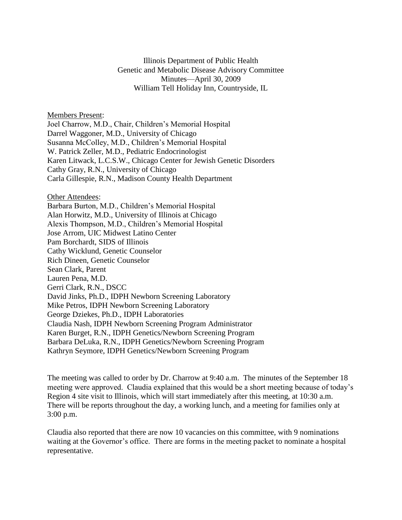Illinois Department of Public Health Genetic and Metabolic Disease Advisory Committee Minutes—April 30, 2009 William Tell Holiday Inn, Countryside, IL

Members Present:

Joel Charrow, M.D., Chair, Children's Memorial Hospital Darrel Waggoner, M.D., University of Chicago Susanna McColley, M.D., Children's Memorial Hospital W. Patrick Zeller, M.D., Pediatric Endocrinologist Karen Litwack, L.C.S.W., Chicago Center for Jewish Genetic Disorders Cathy Gray, R.N., University of Chicago Carla Gillespie, R.N., Madison County Health Department

Other Attendees:

Barbara Burton, M.D., Children's Memorial Hospital Alan Horwitz, M.D., University of Illinois at Chicago Alexis Thompson, M.D., Children's Memorial Hospital Jose Arrom, UIC Midwest Latino Center Pam Borchardt, SIDS of Illinois Cathy Wicklund, Genetic Counselor Rich Dineen, Genetic Counselor Sean Clark, Parent Lauren Pena, M.D. Gerri Clark, R.N., DSCC David Jinks, Ph.D., IDPH Newborn Screening Laboratory Mike Petros, IDPH Newborn Screening Laboratory George Dziekes, Ph.D., IDPH Laboratories Claudia Nash, IDPH Newborn Screening Program Administrator Karen Burget, R.N., IDPH Genetics/Newborn Screening Program Barbara DeLuka, R.N., IDPH Genetics/Newborn Screening Program Kathryn Seymore, IDPH Genetics/Newborn Screening Program

The meeting was called to order by Dr. Charrow at 9:40 a.m. The minutes of the September 18 meeting were approved. Claudia explained that this would be a short meeting because of today's Region 4 site visit to Illinois, which will start immediately after this meeting, at 10:30 a.m. There will be reports throughout the day, a working lunch, and a meeting for families only at 3:00 p.m.

Claudia also reported that there are now 10 vacancies on this committee, with 9 nominations waiting at the Governor's office. There are forms in the meeting packet to nominate a hospital representative.